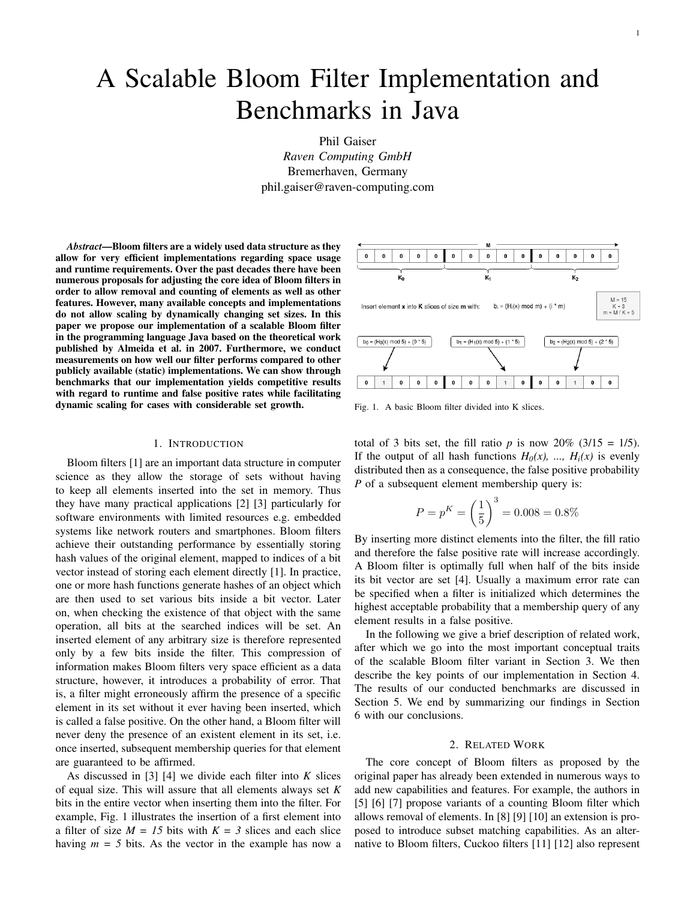# A Scalable Bloom Filter Implementation and Benchmarks in Java

Phil Gaiser *Raven Computing GmbH* Bremerhaven, Germany phil.gaiser@raven-computing.com

*Abstract*—Bloom filters are a widely used data structure as they allow for very efficient implementations regarding space usage and runtime requirements. Over the past decades there have been numerous proposals for adjusting the core idea of Bloom filters in order to allow removal and counting of elements as well as other features. However, many available concepts and implementations do not allow scaling by dynamically changing set sizes. In this paper we propose our implementation of a scalable Bloom filter in the programming language Java based on the theoretical work published by Almeida et al. in 2007. Furthermore, we conduct measurements on how well our filter performs compared to other publicly available (static) implementations. We can show through benchmarks that our implementation yields competitive results with regard to runtime and false positive rates while facilitating dynamic scaling for cases with considerable set growth.

#### 1. INTRODUCTION

Bloom filters [\[1\]](#page-5-0) are an important data structure in computer science as they allow the storage of sets without having to keep all elements inserted into the set in memory. Thus they have many practical applications [\[2\]](#page-5-1) [\[3\]](#page-5-2) particularly for software environments with limited resources e.g. embedded systems like network routers and smartphones. Bloom filters achieve their outstanding performance by essentially storing hash values of the original element, mapped to indices of a bit vector instead of storing each element directly [\[1\]](#page-5-0). In practice, one or more hash functions generate hashes of an object which are then used to set various bits inside a bit vector. Later on, when checking the existence of that object with the same operation, all bits at the searched indices will be set. An inserted element of any arbitrary size is therefore represented only by a few bits inside the filter. This compression of information makes Bloom filters very space efficient as a data structure, however, it introduces a probability of error. That is, a filter might erroneously affirm the presence of a specific element in its set without it ever having been inserted, which is called a false positive. On the other hand, a Bloom filter will never deny the presence of an existent element in its set, i.e. once inserted, subsequent membership queries for that element are guaranteed to be affirmed.

As discussed in [\[3\]](#page-5-2) [\[4\]](#page-5-3) we divide each filter into *K* slices of equal size. This will assure that all elements always set *K* bits in the entire vector when inserting them into the filter. For example, Fig. [1](#page-0-0) illustrates the insertion of a first element into a filter of size  $M = 15$  bits with  $K = 3$  slices and each slice having  $m = 5$  bits. As the vector in the example has now a



<span id="page-0-0"></span>Fig. 1. A basic Bloom filter divided into K slices.

total of 3 bits set, the fill ratio  $p$  is now 20% (3/15 = 1/5). If the output of all hash functions  $H_0(x)$ , ...,  $H_i(x)$  is evenly distributed then as a consequence, the false positive probability *P* of a subsequent element membership query is:

$$
P = p^{K} = \left(\frac{1}{5}\right)^{3} = 0.008 = 0.8\%
$$

By inserting more distinct elements into the filter, the fill ratio and therefore the false positive rate will increase accordingly. A Bloom filter is optimally full when half of the bits inside its bit vector are set [\[4\]](#page-5-3). Usually a maximum error rate can be specified when a filter is initialized which determines the highest acceptable probability that a membership query of any element results in a false positive.

In the following we give a brief description of related work, after which we go into the most important conceptual traits of the scalable Bloom filter variant in Section [3.](#page-1-0) We then describe the key points of our implementation in Section [4.](#page-1-1) The results of our conducted benchmarks are discussed in Section [5.](#page-2-0) We end by summarizing our findings in Section [6](#page-5-4) with our conclusions.

## 2. RELATED WORK

The core concept of Bloom filters as proposed by the original paper has already been extended in numerous ways to add new capabilities and features. For example, the authors in [\[5\]](#page-5-5) [\[6\]](#page-5-6) [\[7\]](#page-5-7) propose variants of a counting Bloom filter which allows removal of elements. In [\[8\]](#page-5-8) [\[9\]](#page-5-9) [\[10\]](#page-5-10) an extension is proposed to introduce subset matching capabilities. As an alternative to Bloom filters, Cuckoo filters [\[11\]](#page-5-11) [\[12\]](#page-5-12) also represent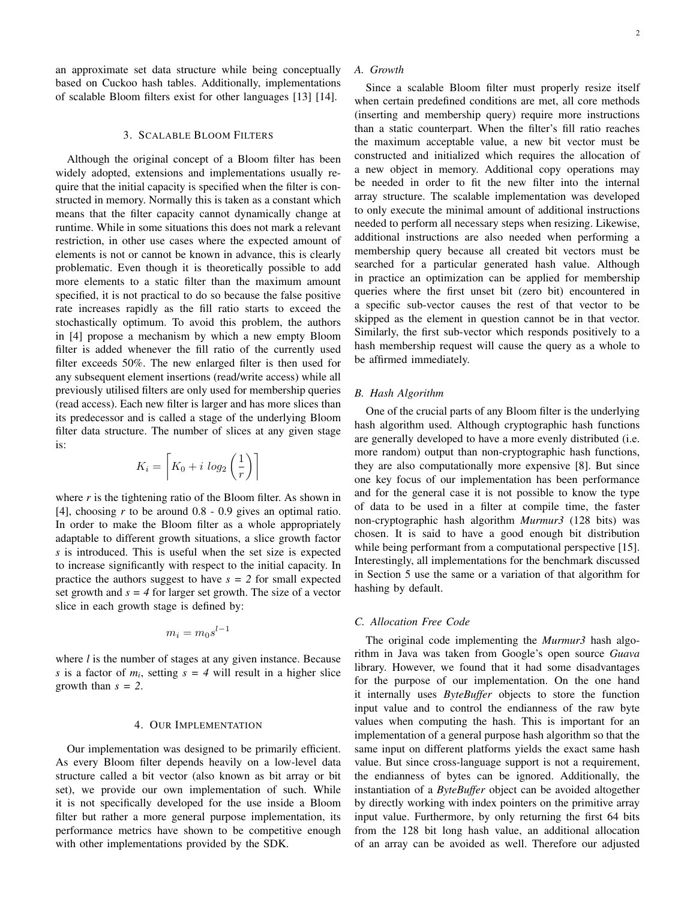an approximate set data structure while being conceptually based on Cuckoo hash tables. Additionally, implementations of scalable Bloom filters exist for other languages [\[13\]](#page-5-13) [\[14\]](#page-5-14).

#### 3. SCALABLE BLOOM FILTERS

<span id="page-1-0"></span>Although the original concept of a Bloom filter has been widely adopted, extensions and implementations usually require that the initial capacity is specified when the filter is constructed in memory. Normally this is taken as a constant which means that the filter capacity cannot dynamically change at runtime. While in some situations this does not mark a relevant restriction, in other use cases where the expected amount of elements is not or cannot be known in advance, this is clearly problematic. Even though it is theoretically possible to add more elements to a static filter than the maximum amount specified, it is not practical to do so because the false positive rate increases rapidly as the fill ratio starts to exceed the stochastically optimum. To avoid this problem, the authors in [\[4\]](#page-5-3) propose a mechanism by which a new empty Bloom filter is added whenever the fill ratio of the currently used filter exceeds 50%. The new enlarged filter is then used for any subsequent element insertions (read/write access) while all previously utilised filters are only used for membership queries (read access). Each new filter is larger and has more slices than its predecessor and is called a stage of the underlying Bloom filter data structure. The number of slices at any given stage is:

$$
K_i = \left\lceil K_0 + i \log_2 \left( \frac{1}{r} \right) \right\rceil
$$

where  $r$  is the tightening ratio of the Bloom filter. As shown in [\[4\]](#page-5-3), choosing *r* to be around 0.8 - 0.9 gives an optimal ratio. In order to make the Bloom filter as a whole appropriately adaptable to different growth situations, a slice growth factor *s* is introduced. This is useful when the set size is expected to increase significantly with respect to the initial capacity. In practice the authors suggest to have  $s = 2$  for small expected set growth and  $s = 4$  for larger set growth. The size of a vector slice in each growth stage is defined by:

$$
m_i = m_0 s^{l-1}
$$

where *l* is the number of stages at any given instance. Because *s* is a factor of  $m_i$ , setting  $s = 4$  will result in a higher slice growth than *s = 2*.

#### 4. OUR IMPLEMENTATION

<span id="page-1-1"></span>Our implementation was designed to be primarily efficient. As every Bloom filter depends heavily on a low-level data structure called a bit vector (also known as bit array or bit set), we provide our own implementation of such. While it is not specifically developed for the use inside a Bloom filter but rather a more general purpose implementation, its performance metrics have shown to be competitive enough with other implementations provided by the SDK.

# *A. Growth*

Since a scalable Bloom filter must properly resize itself when certain predefined conditions are met, all core methods (inserting and membership query) require more instructions than a static counterpart. When the filter's fill ratio reaches the maximum acceptable value, a new bit vector must be constructed and initialized which requires the allocation of a new object in memory. Additional copy operations may be needed in order to fit the new filter into the internal array structure. The scalable implementation was developed to only execute the minimal amount of additional instructions needed to perform all necessary steps when resizing. Likewise, additional instructions are also needed when performing a membership query because all created bit vectors must be searched for a particular generated hash value. Although in practice an optimization can be applied for membership queries where the first unset bit (zero bit) encountered in a specific sub-vector causes the rest of that vector to be skipped as the element in question cannot be in that vector. Similarly, the first sub-vector which responds positively to a hash membership request will cause the query as a whole to be affirmed immediately.

# *B. Hash Algorithm*

One of the crucial parts of any Bloom filter is the underlying hash algorithm used. Although cryptographic hash functions are generally developed to have a more evenly distributed (i.e. more random) output than non-cryptographic hash functions, they are also computationally more expensive [\[8\]](#page-5-8). But since one key focus of our implementation has been performance and for the general case it is not possible to know the type of data to be used in a filter at compile time, the faster non-cryptographic hash algorithm *Murmur3* (128 bits) was chosen. It is said to have a good enough bit distribution while being performant from a computational perspective [\[15\]](#page-5-15). Interestingly, all implementations for the benchmark discussed in Section [5](#page-2-0) use the same or a variation of that algorithm for hashing by default.

# *C. Allocation Free Code*

The original code implementing the *Murmur3* hash algorithm in Java was taken from Google's open source *Guava* library. However, we found that it had some disadvantages for the purpose of our implementation. On the one hand it internally uses *ByteBuffer* objects to store the function input value and to control the endianness of the raw byte values when computing the hash. This is important for an implementation of a general purpose hash algorithm so that the same input on different platforms yields the exact same hash value. But since cross-language support is not a requirement, the endianness of bytes can be ignored. Additionally, the instantiation of a *ByteBuffer* object can be avoided altogether by directly working with index pointers on the primitive array input value. Furthermore, by only returning the first 64 bits from the 128 bit long hash value, an additional allocation of an array can be avoided as well. Therefore our adjusted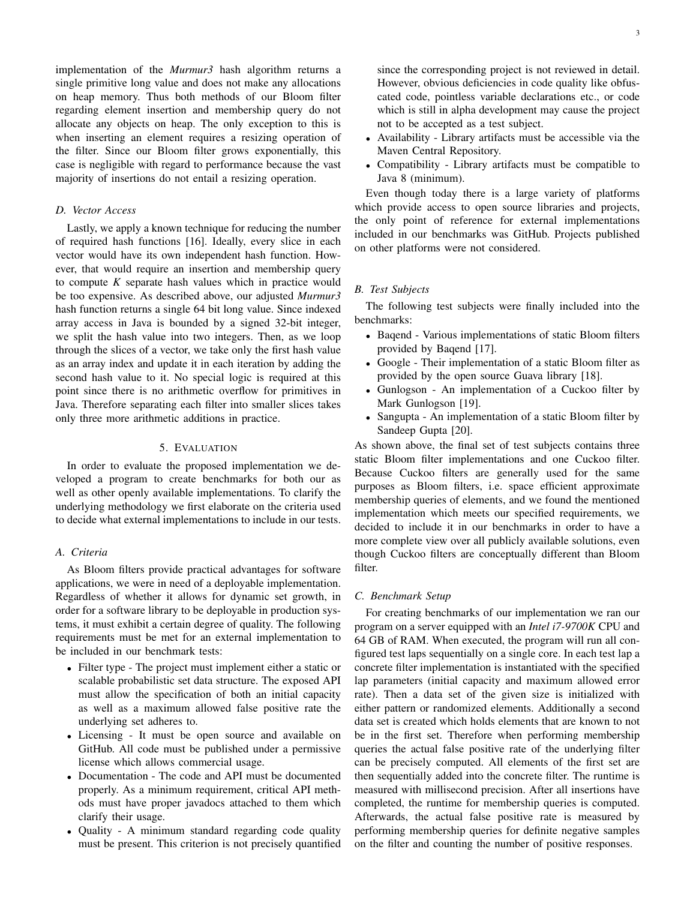implementation of the *Murmur3* hash algorithm returns a single primitive long value and does not make any allocations on heap memory. Thus both methods of our Bloom filter regarding element insertion and membership query do not allocate any objects on heap. The only exception to this is when inserting an element requires a resizing operation of the filter. Since our Bloom filter grows exponentially, this case is negligible with regard to performance because the vast majority of insertions do not entail a resizing operation.

# *D. Vector Access*

Lastly, we apply a known technique for reducing the number of required hash functions [\[16\]](#page-5-16). Ideally, every slice in each vector would have its own independent hash function. However, that would require an insertion and membership query to compute *K* separate hash values which in practice would be too expensive. As described above, our adjusted *Murmur3* hash function returns a single 64 bit long value. Since indexed array access in Java is bounded by a signed 32-bit integer, we split the hash value into two integers. Then, as we loop through the slices of a vector, we take only the first hash value as an array index and update it in each iteration by adding the second hash value to it. No special logic is required at this point since there is no arithmetic overflow for primitives in Java. Therefore separating each filter into smaller slices takes only three more arithmetic additions in practice.

# 5. EVALUATION

<span id="page-2-0"></span>In order to evaluate the proposed implementation we developed a program to create benchmarks for both our as well as other openly available implementations. To clarify the underlying methodology we first elaborate on the criteria used to decide what external implementations to include in our tests.

# *A. Criteria*

As Bloom filters provide practical advantages for software applications, we were in need of a deployable implementation. Regardless of whether it allows for dynamic set growth, in order for a software library to be deployable in production systems, it must exhibit a certain degree of quality. The following requirements must be met for an external implementation to be included in our benchmark tests:

- Filter type The project must implement either a static or scalable probabilistic set data structure. The exposed API must allow the specification of both an initial capacity as well as a maximum allowed false positive rate the underlying set adheres to.
- Licensing It must be open source and available on GitHub. All code must be published under a permissive license which allows commercial usage.
- Documentation The code and API must be documented properly. As a minimum requirement, critical API methods must have proper javadocs attached to them which clarify their usage.
- Quality A minimum standard regarding code quality must be present. This criterion is not precisely quantified

since the corresponding project is not reviewed in detail. However, obvious deficiencies in code quality like obfuscated code, pointless variable declarations etc., or code which is still in alpha development may cause the project not to be accepted as a test subject.

- Availability Library artifacts must be accessible via the Maven Central Repository.
- Compatibility Library artifacts must be compatible to Java 8 (minimum).

Even though today there is a large variety of platforms which provide access to open source libraries and projects, the only point of reference for external implementations included in our benchmarks was GitHub. Projects published on other platforms were not considered.

### *B. Test Subjects*

The following test subjects were finally included into the benchmarks:

- Baqend Various implementations of static Bloom filters provided by Baqend [\[17\]](#page-5-17).
- Google Their implementation of a static Bloom filter as provided by the open source Guava library [\[18\]](#page-5-18).
- Gunlogson An implementation of a Cuckoo filter by Mark Gunlogson [\[19\]](#page-5-19).
- Sangupta An implementation of a static Bloom filter by Sandeep Gupta [\[20\]](#page-5-20).

As shown above, the final set of test subjects contains three static Bloom filter implementations and one Cuckoo filter. Because Cuckoo filters are generally used for the same purposes as Bloom filters, i.e. space efficient approximate membership queries of elements, and we found the mentioned implementation which meets our specified requirements, we decided to include it in our benchmarks in order to have a more complete view over all publicly available solutions, even though Cuckoo filters are conceptually different than Bloom filter.

## *C. Benchmark Setup*

For creating benchmarks of our implementation we ran our program on a server equipped with an *Intel i7-9700K* CPU and 64 GB of RAM. When executed, the program will run all configured test laps sequentially on a single core. In each test lap a concrete filter implementation is instantiated with the specified lap parameters (initial capacity and maximum allowed error rate). Then a data set of the given size is initialized with either pattern or randomized elements. Additionally a second data set is created which holds elements that are known to not be in the first set. Therefore when performing membership queries the actual false positive rate of the underlying filter can be precisely computed. All elements of the first set are then sequentially added into the concrete filter. The runtime is measured with millisecond precision. After all insertions have completed, the runtime for membership queries is computed. Afterwards, the actual false positive rate is measured by performing membership queries for definite negative samples on the filter and counting the number of positive responses.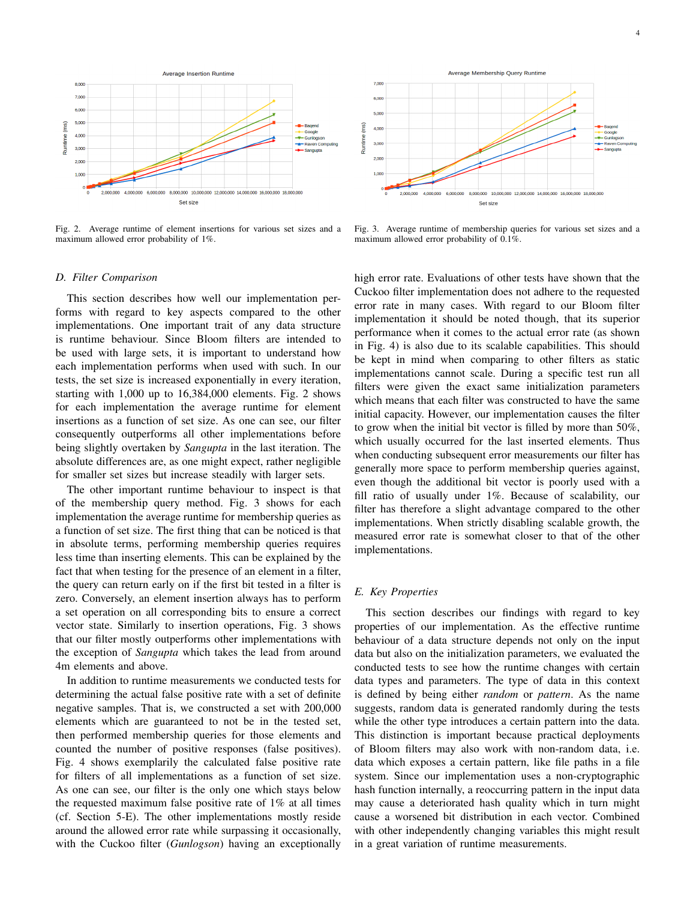

<span id="page-3-0"></span>Fig. 2. Average runtime of element insertions for various set sizes and a maximum allowed error probability of 1%.



<span id="page-3-1"></span>Fig. 3. Average runtime of membership queries for various set sizes and a maximum allowed error probability of 0.1%.

#### <span id="page-3-3"></span>*D. Filter Comparison*

This section describes how well our implementation performs with regard to key aspects compared to the other implementations. One important trait of any data structure is runtime behaviour. Since Bloom filters are intended to be used with large sets, it is important to understand how each implementation performs when used with such. In our tests, the set size is increased exponentially in every iteration, starting with 1,000 up to 16,384,000 elements. Fig. [2](#page-3-0) shows for each implementation the average runtime for element insertions as a function of set size. As one can see, our filter consequently outperforms all other implementations before being slightly overtaken by *Sangupta* in the last iteration. The absolute differences are, as one might expect, rather negligible for smaller set sizes but increase steadily with larger sets.

The other important runtime behaviour to inspect is that of the membership query method. Fig. [3](#page-3-1) shows for each implementation the average runtime for membership queries as a function of set size. The first thing that can be noticed is that in absolute terms, performing membership queries requires less time than inserting elements. This can be explained by the fact that when testing for the presence of an element in a filter, the query can return early on if the first bit tested in a filter is zero. Conversely, an element insertion always has to perform a set operation on all corresponding bits to ensure a correct vector state. Similarly to insertion operations, Fig. [3](#page-3-1) shows that our filter mostly outperforms other implementations with the exception of *Sangupta* which takes the lead from around 4m elements and above.

In addition to runtime measurements we conducted tests for determining the actual false positive rate with a set of definite negative samples. That is, we constructed a set with 200,000 elements which are guaranteed to not be in the tested set, then performed membership queries for those elements and counted the number of positive responses (false positives). Fig. [4](#page-4-0) shows exemplarily the calculated false positive rate for filters of all implementations as a function of set size. As one can see, our filter is the only one which stays below the requested maximum false positive rate of 1% at all times (cf. Section [5-E\)](#page-3-2). The other implementations mostly reside around the allowed error rate while surpassing it occasionally, with the Cuckoo filter (*Gunlogson*) having an exceptionally

high error rate. Evaluations of other tests have shown that the Cuckoo filter implementation does not adhere to the requested error rate in many cases. With regard to our Bloom filter implementation it should be noted though, that its superior performance when it comes to the actual error rate (as shown in Fig. [4\)](#page-4-0) is also due to its scalable capabilities. This should be kept in mind when comparing to other filters as static implementations cannot scale. During a specific test run all filters were given the exact same initialization parameters which means that each filter was constructed to have the same initial capacity. However, our implementation causes the filter to grow when the initial bit vector is filled by more than 50%, which usually occurred for the last inserted elements. Thus when conducting subsequent error measurements our filter has generally more space to perform membership queries against, even though the additional bit vector is poorly used with a fill ratio of usually under 1%. Because of scalability, our filter has therefore a slight advantage compared to the other implementations. When strictly disabling scalable growth, the measured error rate is somewhat closer to that of the other implementations.

## <span id="page-3-2"></span>*E. Key Properties*

This section describes our findings with regard to key properties of our implementation. As the effective runtime behaviour of a data structure depends not only on the input data but also on the initialization parameters, we evaluated the conducted tests to see how the runtime changes with certain data types and parameters. The type of data in this context is defined by being either *random* or *pattern*. As the name suggests, random data is generated randomly during the tests while the other type introduces a certain pattern into the data. This distinction is important because practical deployments of Bloom filters may also work with non-random data, i.e. data which exposes a certain pattern, like file paths in a file system. Since our implementation uses a non-cryptographic hash function internally, a reoccurring pattern in the input data may cause a deteriorated hash quality which in turn might cause a worsened bit distribution in each vector. Combined with other independently changing variables this might result in a great variation of runtime measurements.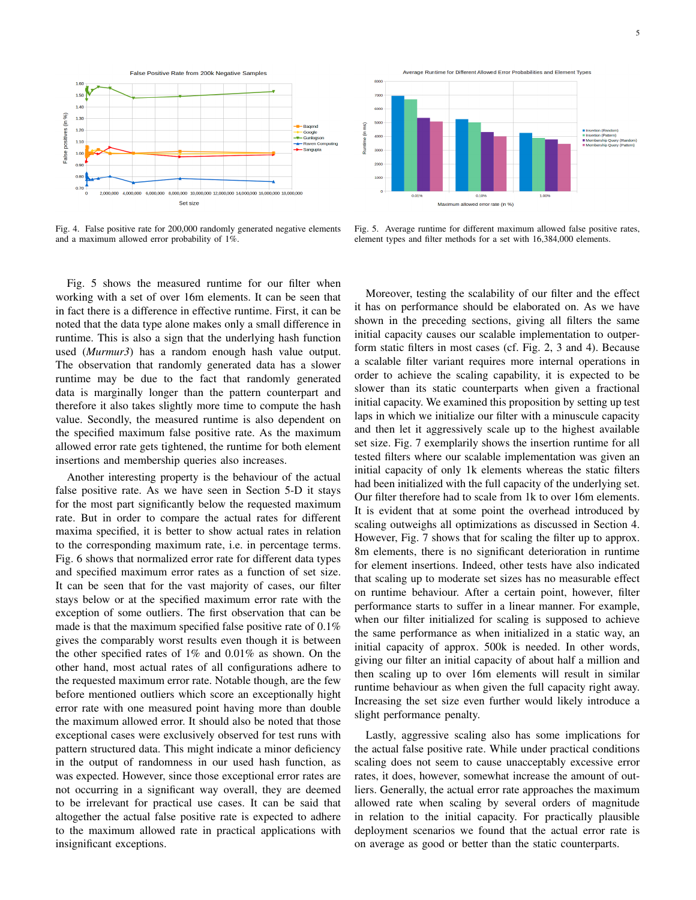

<span id="page-4-0"></span>Fig. 4. False positive rate for 200,000 randomly generated negative elements and a maximum allowed error probability of 1%.

Fig. [5](#page-4-1) shows the measured runtime for our filter when working with a set of over 16m elements. It can be seen that in fact there is a difference in effective runtime. First, it can be noted that the data type alone makes only a small difference in runtime. This is also a sign that the underlying hash function used (*Murmur3*) has a random enough hash value output. The observation that randomly generated data has a slower runtime may be due to the fact that randomly generated data is marginally longer than the pattern counterpart and therefore it also takes slightly more time to compute the hash value. Secondly, the measured runtime is also dependent on the specified maximum false positive rate. As the maximum allowed error rate gets tightened, the runtime for both element insertions and membership queries also increases.

Another interesting property is the behaviour of the actual false positive rate. As we have seen in Section [5-D](#page-3-3) it stays for the most part significantly below the requested maximum rate. But in order to compare the actual rates for different maxima specified, it is better to show actual rates in relation to the corresponding maximum rate, i.e. in percentage terms. Fig. [6](#page-5-21) shows that normalized error rate for different data types and specified maximum error rates as a function of set size. It can be seen that for the vast majority of cases, our filter stays below or at the specified maximum error rate with the exception of some outliers. The first observation that can be made is that the maximum specified false positive rate of 0.1% gives the comparably worst results even though it is between the other specified rates of 1% and 0.01% as shown. On the other hand, most actual rates of all configurations adhere to the requested maximum error rate. Notable though, are the few before mentioned outliers which score an exceptionally hight error rate with one measured point having more than double the maximum allowed error. It should also be noted that those exceptional cases were exclusively observed for test runs with pattern structured data. This might indicate a minor deficiency in the output of randomness in our used hash function, as was expected. However, since those exceptional error rates are not occurring in a significant way overall, they are deemed to be irrelevant for practical use cases. It can be said that altogether the actual false positive rate is expected to adhere to the maximum allowed rate in practical applications with insignificant exceptions.



<span id="page-4-1"></span>Fig. 5. Average runtime for different maximum allowed false positive rates, element types and filter methods for a set with 16,384,000 elements.

Moreover, testing the scalability of our filter and the effect it has on performance should be elaborated on. As we have shown in the preceding sections, giving all filters the same initial capacity causes our scalable implementation to outperform static filters in most cases (cf. Fig. [2,](#page-3-0) [3](#page-3-1) and [4\)](#page-4-0). Because a scalable filter variant requires more internal operations in order to achieve the scaling capability, it is expected to be slower than its static counterparts when given a fractional initial capacity. We examined this proposition by setting up test laps in which we initialize our filter with a minuscule capacity and then let it aggressively scale up to the highest available set size. Fig. [7](#page-5-22) exemplarily shows the insertion runtime for all tested filters where our scalable implementation was given an initial capacity of only 1k elements whereas the static filters had been initialized with the full capacity of the underlying set. Our filter therefore had to scale from 1k to over 16m elements. It is evident that at some point the overhead introduced by scaling outweighs all optimizations as discussed in Section [4.](#page-1-1) However, Fig. [7](#page-5-22) shows that for scaling the filter up to approx. 8m elements, there is no significant deterioration in runtime for element insertions. Indeed, other tests have also indicated that scaling up to moderate set sizes has no measurable effect on runtime behaviour. After a certain point, however, filter performance starts to suffer in a linear manner. For example, when our filter initialized for scaling is supposed to achieve the same performance as when initialized in a static way, an initial capacity of approx. 500k is needed. In other words, giving our filter an initial capacity of about half a million and then scaling up to over 16m elements will result in similar runtime behaviour as when given the full capacity right away. Increasing the set size even further would likely introduce a slight performance penalty.

Lastly, aggressive scaling also has some implications for the actual false positive rate. While under practical conditions scaling does not seem to cause unacceptably excessive error rates, it does, however, somewhat increase the amount of outliers. Generally, the actual error rate approaches the maximum allowed rate when scaling by several orders of magnitude in relation to the initial capacity. For practically plausible deployment scenarios we found that the actual error rate is on average as good or better than the static counterparts.